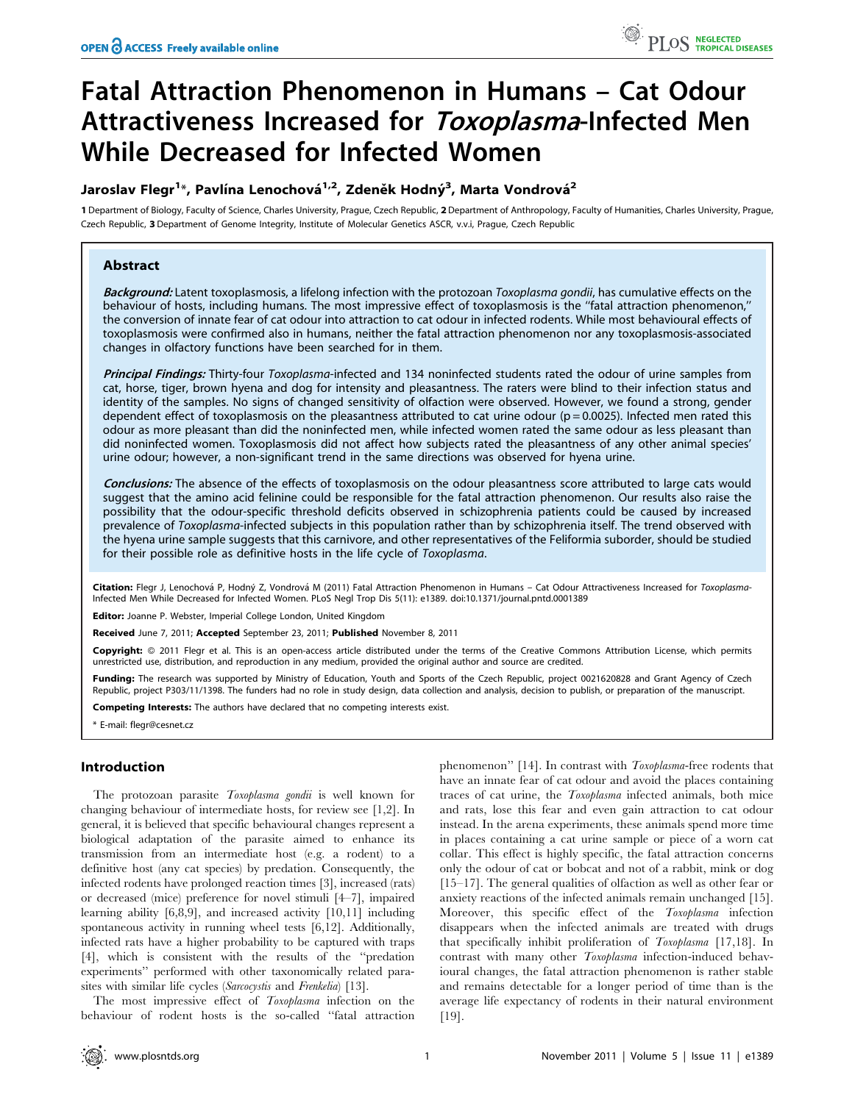# Fatal Attraction Phenomenon in Humans – Cat Odour Attractiveness Increased for *Toxoplasma*-Infected Men While Decreased for Infected Women

# Jaroslav Flegr<sup>1</sup>\*, Pavlína Lenochová<sup>1,2</sup>, Zdeněk Hodný<sup>3</sup>, Marta Vondrová<sup>2</sup>

1 Department of Biology, Faculty of Science, Charles University, Prague, Czech Republic, 2 Department of Anthropology, Faculty of Humanities, Charles University, Prague, Czech Republic, 3 Department of Genome Integrity, Institute of Molecular Genetics ASCR, v.v.i, Prague, Czech Republic

# Abstract

Background: Latent toxoplasmosis, a lifelong infection with the protozoan Toxoplasma gondii, has cumulative effects on the behaviour of hosts, including humans. The most impressive effect of toxoplasmosis is the ''fatal attraction phenomenon,'' the conversion of innate fear of cat odour into attraction to cat odour in infected rodents. While most behavioural effects of toxoplasmosis were confirmed also in humans, neither the fatal attraction phenomenon nor any toxoplasmosis-associated changes in olfactory functions have been searched for in them.

Principal Findings: Thirty-four Toxoplasma-infected and 134 noninfected students rated the odour of urine samples from cat, horse, tiger, brown hyena and dog for intensity and pleasantness. The raters were blind to their infection status and identity of the samples. No signs of changed sensitivity of olfaction were observed. However, we found a strong, gender dependent effect of toxoplasmosis on the pleasantness attributed to cat urine odour ( $p = 0.0025$ ). Infected men rated this odour as more pleasant than did the noninfected men, while infected women rated the same odour as less pleasant than did noninfected women. Toxoplasmosis did not affect how subjects rated the pleasantness of any other animal species' urine odour; however, a non-significant trend in the same directions was observed for hyena urine.

Conclusions: The absence of the effects of toxoplasmosis on the odour pleasantness score attributed to large cats would suggest that the amino acid felinine could be responsible for the fatal attraction phenomenon. Our results also raise the possibility that the odour-specific threshold deficits observed in schizophrenia patients could be caused by increased prevalence of Toxoplasma-infected subjects in this population rather than by schizophrenia itself. The trend observed with the hyena urine sample suggests that this carnivore, and other representatives of the Feliformia suborder, should be studied for their possible role as definitive hosts in the life cycle of Toxoplasma.

Citation: Flegr J, Lenochová P, Hodný Z, Vondrová M (2011) Fatal Attraction Phenomenon in Humans - Cat Odour Attractiveness Increased for Toxoplasma-Infected Men While Decreased for Infected Women. PLoS Negl Trop Dis 5(11): e1389. doi:10.1371/journal.pntd.0001389

Editor: Joanne P. Webster, Imperial College London, United Kingdom

Received June 7, 2011; Accepted September 23, 2011; Published November 8, 2011

Copyright: © 2011 Flegr et al. This is an open-access article distributed under the terms of the Creative Commons Attribution License, which permits unrestricted use, distribution, and reproduction in any medium, provided the original author and source are credited.

Funding: The research was supported by Ministry of Education, Youth and Sports of the Czech Republic, project 0021620828 and Grant Agency of Czech Republic, project P303/11/1398. The funders had no role in study design, data collection and analysis, decision to publish, or preparation of the manuscript.

Competing Interests: The authors have declared that no competing interests exist.

\* E-mail: flegr@cesnet.cz

# Introduction

The protozoan parasite Toxoplasma gondii is well known for changing behaviour of intermediate hosts, for review see [1,2]. In general, it is believed that specific behavioural changes represent a biological adaptation of the parasite aimed to enhance its transmission from an intermediate host (e.g. a rodent) to a definitive host (any cat species) by predation. Consequently, the infected rodents have prolonged reaction times [3], increased (rats) or decreased (mice) preference for novel stimuli [4–7], impaired learning ability [6,8,9], and increased activity [10,11] including spontaneous activity in running wheel tests [6,12]. Additionally, infected rats have a higher probability to be captured with traps [4], which is consistent with the results of the ''predation experiments'' performed with other taxonomically related parasites with similar life cycles (Sarcocystis and Frenkelia) [13].

The most impressive effect of Toxoplasma infection on the behaviour of rodent hosts is the so-called ''fatal attraction phenomenon" [14]. In contrast with *Toxoplasma*-free rodents that have an innate fear of cat odour and avoid the places containing traces of cat urine, the Toxoplasma infected animals, both mice and rats, lose this fear and even gain attraction to cat odour instead. In the arena experiments, these animals spend more time in places containing a cat urine sample or piece of a worn cat collar. This effect is highly specific, the fatal attraction concerns only the odour of cat or bobcat and not of a rabbit, mink or dog [15–17]. The general qualities of olfaction as well as other fear or anxiety reactions of the infected animals remain unchanged [15]. Moreover, this specific effect of the Toxoplasma infection disappears when the infected animals are treated with drugs that specifically inhibit proliferation of Toxoplasma [17,18]. In contrast with many other Toxoplasma infection-induced behavioural changes, the fatal attraction phenomenon is rather stable and remains detectable for a longer period of time than is the average life expectancy of rodents in their natural environment [19].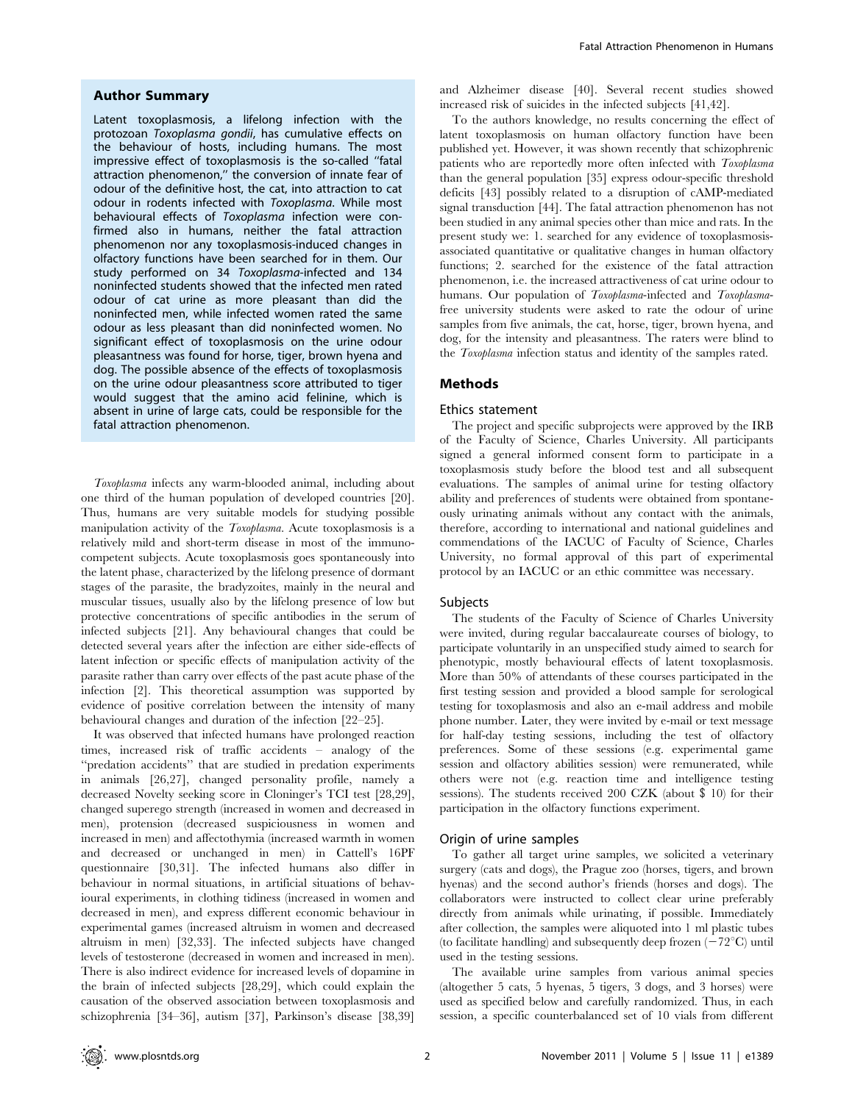#### Author Summary

Latent toxoplasmosis, a lifelong infection with the protozoan Toxoplasma gondii, has cumulative effects on the behaviour of hosts, including humans. The most impressive effect of toxoplasmosis is the so-called ''fatal attraction phenomenon,'' the conversion of innate fear of odour of the definitive host, the cat, into attraction to cat odour in rodents infected with Toxoplasma. While most behavioural effects of Toxoplasma infection were confirmed also in humans, neither the fatal attraction phenomenon nor any toxoplasmosis-induced changes in olfactory functions have been searched for in them. Our study performed on 34 Toxoplasma-infected and 134 noninfected students showed that the infected men rated odour of cat urine as more pleasant than did the noninfected men, while infected women rated the same odour as less pleasant than did noninfected women. No significant effect of toxoplasmosis on the urine odour pleasantness was found for horse, tiger, brown hyena and dog. The possible absence of the effects of toxoplasmosis on the urine odour pleasantness score attributed to tiger would suggest that the amino acid felinine, which is absent in urine of large cats, could be responsible for the fatal attraction phenomenon.

Toxoplasma infects any warm-blooded animal, including about one third of the human population of developed countries [20]. Thus, humans are very suitable models for studying possible manipulation activity of the *Toxoplasma*. Acute toxoplasmosis is a relatively mild and short-term disease in most of the immunocompetent subjects. Acute toxoplasmosis goes spontaneously into the latent phase, characterized by the lifelong presence of dormant stages of the parasite, the bradyzoites, mainly in the neural and muscular tissues, usually also by the lifelong presence of low but protective concentrations of specific antibodies in the serum of infected subjects [21]. Any behavioural changes that could be detected several years after the infection are either side-effects of latent infection or specific effects of manipulation activity of the parasite rather than carry over effects of the past acute phase of the infection [2]. This theoretical assumption was supported by evidence of positive correlation between the intensity of many behavioural changes and duration of the infection [22–25].

It was observed that infected humans have prolonged reaction times, increased risk of traffic accidents – analogy of the ''predation accidents'' that are studied in predation experiments in animals [26,27], changed personality profile, namely a decreased Novelty seeking score in Cloninger's TCI test [28,29], changed superego strength (increased in women and decreased in men), protension (decreased suspiciousness in women and increased in men) and affectothymia (increased warmth in women and decreased or unchanged in men) in Cattell's 16PF questionnaire [30,31]. The infected humans also differ in behaviour in normal situations, in artificial situations of behavioural experiments, in clothing tidiness (increased in women and decreased in men), and express different economic behaviour in experimental games (increased altruism in women and decreased altruism in men) [32,33]. The infected subjects have changed levels of testosterone (decreased in women and increased in men). There is also indirect evidence for increased levels of dopamine in the brain of infected subjects [28,29], which could explain the causation of the observed association between toxoplasmosis and schizophrenia [34–36], autism [37], Parkinson's disease [38,39]

and Alzheimer disease [40]. Several recent studies showed increased risk of suicides in the infected subjects [41,42].

To the authors knowledge, no results concerning the effect of latent toxoplasmosis on human olfactory function have been published yet. However, it was shown recently that schizophrenic patients who are reportedly more often infected with Toxoplasma than the general population [35] express odour-specific threshold deficits [43] possibly related to a disruption of cAMP-mediated signal transduction [44]. The fatal attraction phenomenon has not been studied in any animal species other than mice and rats. In the present study we: 1. searched for any evidence of toxoplasmosisassociated quantitative or qualitative changes in human olfactory functions; 2. searched for the existence of the fatal attraction phenomenon, i.e. the increased attractiveness of cat urine odour to humans. Our population of Toxoplasma-infected and Toxoplasmafree university students were asked to rate the odour of urine samples from five animals, the cat, horse, tiger, brown hyena, and dog, for the intensity and pleasantness. The raters were blind to the Toxoplasma infection status and identity of the samples rated.

#### Methods

#### Ethics statement

The project and specific subprojects were approved by the IRB of the Faculty of Science, Charles University. All participants signed a general informed consent form to participate in a toxoplasmosis study before the blood test and all subsequent evaluations. The samples of animal urine for testing olfactory ability and preferences of students were obtained from spontaneously urinating animals without any contact with the animals, therefore, according to international and national guidelines and commendations of the IACUC of Faculty of Science, Charles University, no formal approval of this part of experimental protocol by an IACUC or an ethic committee was necessary.

#### Subjects

The students of the Faculty of Science of Charles University were invited, during regular baccalaureate courses of biology, to participate voluntarily in an unspecified study aimed to search for phenotypic, mostly behavioural effects of latent toxoplasmosis. More than 50% of attendants of these courses participated in the first testing session and provided a blood sample for serological testing for toxoplasmosis and also an e-mail address and mobile phone number. Later, they were invited by e-mail or text message for half-day testing sessions, including the test of olfactory preferences. Some of these sessions (e.g. experimental game session and olfactory abilities session) were remunerated, while others were not (e.g. reaction time and intelligence testing sessions). The students received 200 CZK (about \$ 10) for their participation in the olfactory functions experiment.

#### Origin of urine samples

To gather all target urine samples, we solicited a veterinary surgery (cats and dogs), the Prague zoo (horses, tigers, and brown hyenas) and the second author's friends (horses and dogs). The collaborators were instructed to collect clear urine preferably directly from animals while urinating, if possible. Immediately after collection, the samples were aliquoted into 1 ml plastic tubes (to facilitate handling) and subsequently deep frozen  $(-72^{\circ}C)$  until used in the testing sessions.

The available urine samples from various animal species (altogether 5 cats, 5 hyenas, 5 tigers, 3 dogs, and 3 horses) were used as specified below and carefully randomized. Thus, in each session, a specific counterbalanced set of 10 vials from different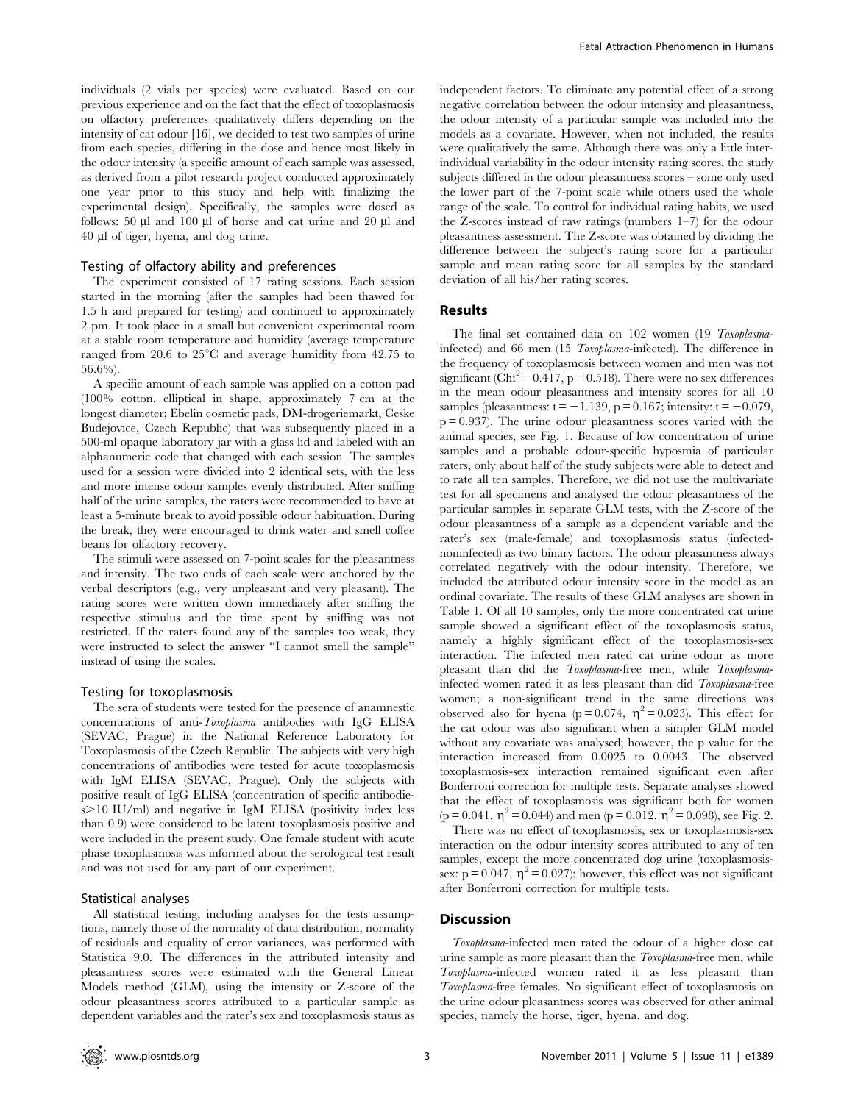individuals (2 vials per species) were evaluated. Based on our previous experience and on the fact that the effect of toxoplasmosis on olfactory preferences qualitatively differs depending on the intensity of cat odour [16], we decided to test two samples of urine from each species, differing in the dose and hence most likely in the odour intensity (a specific amount of each sample was assessed, as derived from a pilot research project conducted approximately one year prior to this study and help with finalizing the experimental design). Specifically, the samples were dosed as follows:  $50 \mu l$  and  $100 \mu l$  of horse and cat urine and  $20 \mu l$  and 40 ml of tiger, hyena, and dog urine.

#### Testing of olfactory ability and preferences

The experiment consisted of 17 rating sessions. Each session started in the morning (after the samples had been thawed for 1.5 h and prepared for testing) and continued to approximately 2 pm. It took place in a small but convenient experimental room at a stable room temperature and humidity (average temperature ranged from 20.6 to  $25^{\circ}$ C and average humidity from 42.75 to 56.6%).

A specific amount of each sample was applied on a cotton pad (100% cotton, elliptical in shape, approximately 7 cm at the longest diameter; Ebelin cosmetic pads, DM-drogeriemarkt, Ceske Budejovice, Czech Republic) that was subsequently placed in a 500-ml opaque laboratory jar with a glass lid and labeled with an alphanumeric code that changed with each session. The samples used for a session were divided into 2 identical sets, with the less and more intense odour samples evenly distributed. After sniffing half of the urine samples, the raters were recommended to have at least a 5-minute break to avoid possible odour habituation. During the break, they were encouraged to drink water and smell coffee beans for olfactory recovery.

The stimuli were assessed on 7-point scales for the pleasantness and intensity. The two ends of each scale were anchored by the verbal descriptors (e.g., very unpleasant and very pleasant). The rating scores were written down immediately after sniffing the respective stimulus and the time spent by sniffing was not restricted. If the raters found any of the samples too weak, they were instructed to select the answer ''I cannot smell the sample'' instead of using the scales.

#### Testing for toxoplasmosis

The sera of students were tested for the presence of anamnestic concentrations of anti-Toxoplasma antibodies with IgG ELISA (SEVAC, Prague) in the National Reference Laboratory for Toxoplasmosis of the Czech Republic. The subjects with very high concentrations of antibodies were tested for acute toxoplasmosis with IgM ELISA (SEVAC, Prague). Only the subjects with positive result of IgG ELISA (concentration of specific antibodies>10 IU/ml) and negative in IgM ELISA (positivity index less than 0.9) were considered to be latent toxoplasmosis positive and were included in the present study. One female student with acute phase toxoplasmosis was informed about the serological test result and was not used for any part of our experiment.

#### Statistical analyses

All statistical testing, including analyses for the tests assumptions, namely those of the normality of data distribution, normality of residuals and equality of error variances, was performed with Statistica 9.0. The differences in the attributed intensity and pleasantness scores were estimated with the General Linear Models method (GLM), using the intensity or Z-score of the odour pleasantness scores attributed to a particular sample as dependent variables and the rater's sex and toxoplasmosis status as independent factors. To eliminate any potential effect of a strong negative correlation between the odour intensity and pleasantness, the odour intensity of a particular sample was included into the models as a covariate. However, when not included, the results were qualitatively the same. Although there was only a little interindividual variability in the odour intensity rating scores, the study subjects differed in the odour pleasantness scores – some only used the lower part of the 7-point scale while others used the whole range of the scale. To control for individual rating habits, we used the Z-scores instead of raw ratings (numbers 1–7) for the odour pleasantness assessment. The Z-score was obtained by dividing the difference between the subject's rating score for a particular sample and mean rating score for all samples by the standard deviation of all his/her rating scores.

# Results

The final set contained data on 102 women (19 Toxoplasmainfected) and 66 men (15 Toxoplasma-infected). The difference in the frequency of toxoplasmosis between women and men was not significant (Chi<sup>2</sup> = 0.417, p = 0.518). There were no sex differences in the mean odour pleasantness and intensity scores for all 10 samples (pleasantness:  $t = -1.139$ , p = 0.167; intensity:  $t = -0.079$ ,  $p = 0.937$ . The urine odour pleasantness scores varied with the animal species, see Fig. 1. Because of low concentration of urine samples and a probable odour-specific hyposmia of particular raters, only about half of the study subjects were able to detect and to rate all ten samples. Therefore, we did not use the multivariate test for all specimens and analysed the odour pleasantness of the particular samples in separate GLM tests, with the Z-score of the odour pleasantness of a sample as a dependent variable and the rater's sex (male-female) and toxoplasmosis status (infectednoninfected) as two binary factors. The odour pleasantness always correlated negatively with the odour intensity. Therefore, we included the attributed odour intensity score in the model as an ordinal covariate. The results of these GLM analyses are shown in Table 1. Of all 10 samples, only the more concentrated cat urine sample showed a significant effect of the toxoplasmosis status, namely a highly significant effect of the toxoplasmosis-sex interaction. The infected men rated cat urine odour as more pleasant than did the Toxoplasma-free men, while Toxoplasmainfected women rated it as less pleasant than did Toxoplasma-free women; a non-significant trend in the same directions was observed also for hyena ( $p = 0.074$ ,  $\eta^2 = 0.023$ ). This effect for the cat odour was also significant when a simpler GLM model without any covariate was analysed; however, the p value for the interaction increased from 0.0025 to 0.0043. The observed toxoplasmosis-sex interaction remained significant even after Bonferroni correction for multiple tests. Separate analyses showed that the effect of toxoplasmosis was significant both for women  $(p = 0.041, \eta^2 = 0.044)$  and men  $(p = 0.012, \eta^2 = 0.098)$ , see Fig. 2.

There was no effect of toxoplasmosis, sex or toxoplasmosis-sex interaction on the odour intensity scores attributed to any of ten samples, except the more concentrated dog urine (toxoplasmosissex:  $p = 0.047$ ,  $\eta^2 = 0.027$ ; however, this effect was not significant after Bonferroni correction for multiple tests.

# Discussion

Toxoplasma-infected men rated the odour of a higher dose cat urine sample as more pleasant than the *Toxoplasma*-free men, while Toxoplasma-infected women rated it as less pleasant than Toxoplasma-free females. No significant effect of toxoplasmosis on the urine odour pleasantness scores was observed for other animal species, namely the horse, tiger, hyena, and dog.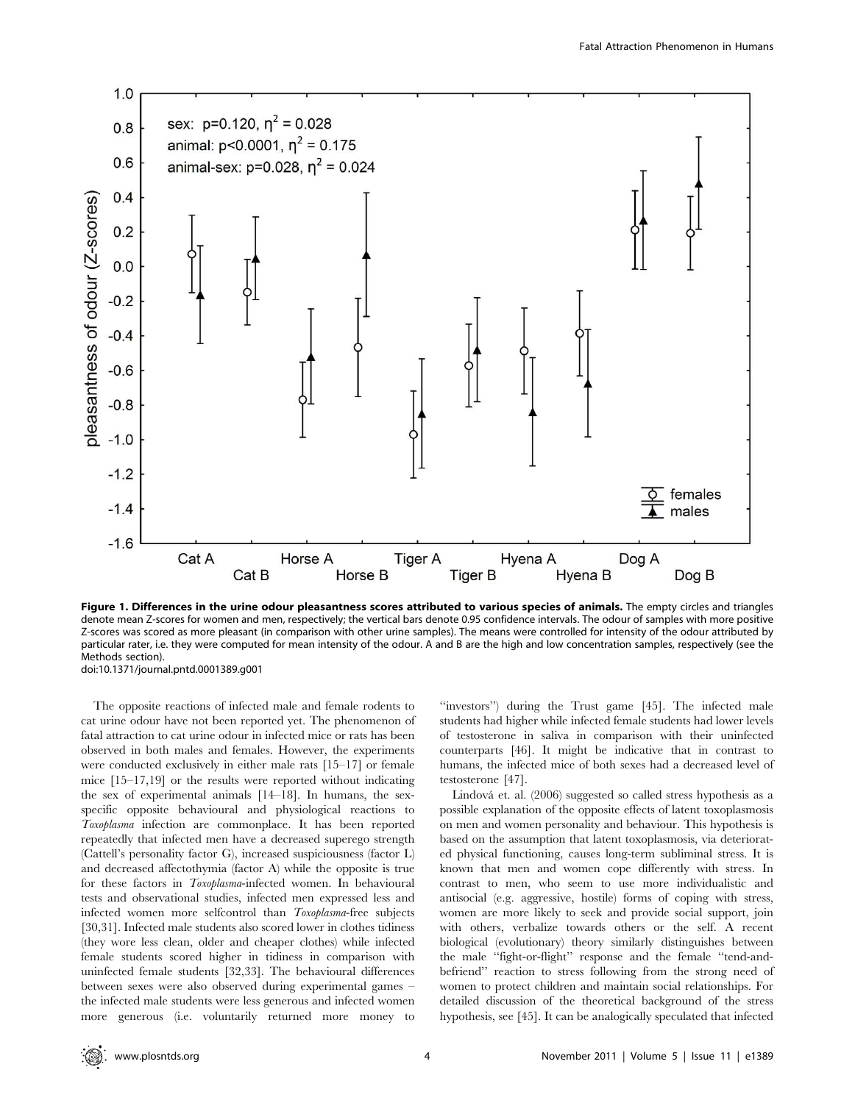

Figure 1. Differences in the urine odour pleasantness scores attributed to various species of animals. The empty circles and triangles denote mean Z-scores for women and men, respectively; the vertical bars denote 0.95 confidence intervals. The odour of samples with more positive Z-scores was scored as more pleasant (in comparison with other urine samples). The means were controlled for intensity of the odour attributed by particular rater, i.e. they were computed for mean intensity of the odour. A and B are the high and low concentration samples, respectively (see the Methods section). doi:10.1371/journal.pntd.0001389.g001

The opposite reactions of infected male and female rodents to cat urine odour have not been reported yet. The phenomenon of fatal attraction to cat urine odour in infected mice or rats has been observed in both males and females. However, the experiments were conducted exclusively in either male rats [15–17] or female mice [15–17,19] or the results were reported without indicating the sex of experimental animals [14–18]. In humans, the sexspecific opposite behavioural and physiological reactions to Toxoplasma infection are commonplace. It has been reported repeatedly that infected men have a decreased superego strength (Cattell's personality factor G), increased suspiciousness (factor L) and decreased affectothymia (factor A) while the opposite is true for these factors in Toxoplasma-infected women. In behavioural tests and observational studies, infected men expressed less and infected women more selfcontrol than Toxoplasma-free subjects [30,31]. Infected male students also scored lower in clothes tidiness (they wore less clean, older and cheaper clothes) while infected female students scored higher in tidiness in comparison with uninfected female students [32,33]. The behavioural differences between sexes were also observed during experimental games – the infected male students were less generous and infected women more generous (i.e. voluntarily returned more money to

''investors'') during the Trust game [45]. The infected male students had higher while infected female students had lower levels of testosterone in saliva in comparison with their uninfected counterparts [46]. It might be indicative that in contrast to humans, the infected mice of both sexes had a decreased level of testosterone [47].

Lindová et. al. (2006) suggested so called stress hypothesis as a possible explanation of the opposite effects of latent toxoplasmosis on men and women personality and behaviour. This hypothesis is based on the assumption that latent toxoplasmosis, via deteriorated physical functioning, causes long-term subliminal stress. It is known that men and women cope differently with stress. In contrast to men, who seem to use more individualistic and antisocial (e.g. aggressive, hostile) forms of coping with stress, women are more likely to seek and provide social support, join with others, verbalize towards others or the self. A recent biological (evolutionary) theory similarly distinguishes between the male ''fight-or-flight'' response and the female ''tend-andbefriend'' reaction to stress following from the strong need of women to protect children and maintain social relationships. For detailed discussion of the theoretical background of the stress hypothesis, see [45]. It can be analogically speculated that infected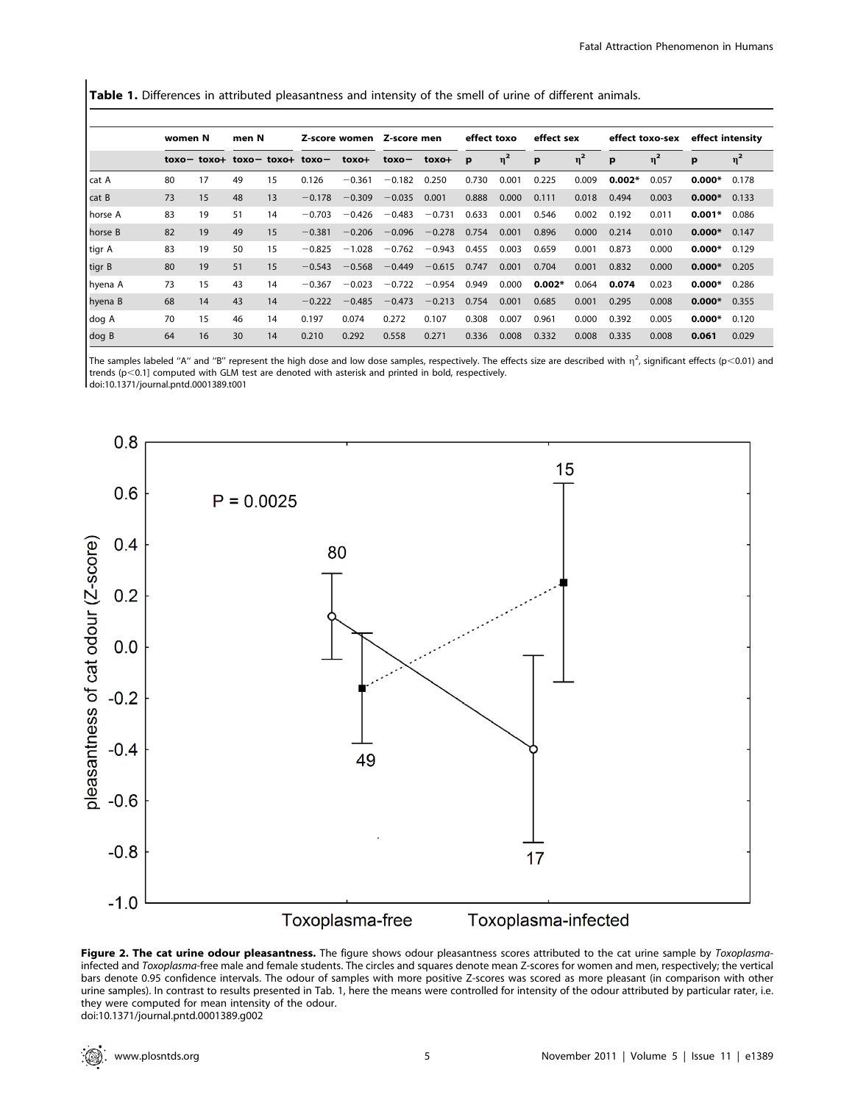Table 1. Differences in attributed pleasantness and intensity of the smell of urine of different animals.

|                  | women N |    | men N                               |    | Z-score women |          | Z-score men |          | effect toxo |          | effect sex |          | effect toxo-sex |          | effect intensity |          |
|------------------|---------|----|-------------------------------------|----|---------------|----------|-------------|----------|-------------|----------|------------|----------|-----------------|----------|------------------|----------|
|                  |         |    | $toxo$ + $toxo$ + $toxo$ + $toxo$ + |    | toxo-         | toxo+    | $to xo-$    | toxo+    | p           | $\eta^2$ | p          | $\eta^2$ | p               | $\eta^2$ | p                | $\eta^2$ |
| cat A            | 80      | 17 | 49                                  | 15 | 0.126         | $-0.361$ | $-0.182$    | 0.250    | 0.730       | 0.001    | 0.225      | 0.009    | $0.002*$        | 0.057    | $0.000*$         | 0.178    |
| I cat B          | 73      | 15 | 48                                  | 13 | $-0.178$      | $-0.309$ | $-0.035$    | 0.001    | 0.888       | 0.000    | 0.111      | 0.018    | 0.494           | 0.003    | $0.000*$         | 0.133    |
| l horse A        | 83      | 19 | 51                                  | 14 | $-0.703$      | $-0.426$ | $-0.483$    | $-0.731$ | 0.633       | 0.001    | 0.546      | 0.002    | 0.192           | 0.011    | $0.001*$         | 0.086    |
| <b>I</b> horse B | 82      | 19 | 49                                  | 15 | $-0.381$      | $-0.206$ | $-0.096$    | $-0.278$ | 0.754       | 0.001    | 0.896      | 0.000    | 0.214           | 0.010    | $0.000*$         | 0.147    |
| tigr A           | 83      | 19 | 50                                  | 15 | $-0.825$      | $-1.028$ | $-0.762$    | $-0.943$ | 0.455       | 0.003    | 0.659      | 0.001    | 0.873           | 0.000    | $0.000*$         | 0.129    |
| tigr B           | 80      | 19 | 51                                  | 15 | $-0.543$      | $-0.568$ | $-0.449$    | $-0.615$ | 0.747       | 0.001    | 0.704      | 0.001    | 0.832           | 0.000    | $0.000*$         | 0.205    |
| hyena A          | 73      | 15 | 43                                  | 14 | $-0.367$      | $-0.023$ | $-0.722$    | $-0.954$ | 0.949       | 0.000    | $0.002*$   | 0.064    | 0.074           | 0.023    | $0.000*$         | 0.286    |
| hyena B          | 68      | 14 | 43                                  | 14 | $-0.222$      | $-0.485$ | $-0.473$    | $-0.213$ | 0.754       | 0.001    | 0.685      | 0.001    | 0.295           | 0.008    | $0.000*$         | 0.355    |
| dog A            | 70      | 15 | 46                                  | 14 | 0.197         | 0.074    | 0.272       | 0.107    | 0.308       | 0.007    | 0.961      | 0.000    | 0.392           | 0.005    | $0.000*$         | 0.120    |
| dog B            | 64      | 16 | 30                                  | 14 | 0.210         | 0.292    | 0.558       | 0.271    | 0.336       | 0.008    | 0.332      | 0.008    | 0.335           | 0.008    | 0.061            | 0.029    |

The samples labeled "A" and "B" represent the high dose and low dose samples, respectively. The effects size are described with  $\eta^2$ , significant effects (p<0.01) and trends (p<0.1] computed with GLM test are denoted with asterisk and printed in bold, respectively.

doi:10.1371/journal.pntd.0001389.t001



Figure 2. The cat urine odour pleasantness. The figure shows odour pleasantness scores attributed to the cat urine sample by Toxoplasmainfected and Toxoplasma-free male and female students. The circles and squares denote mean Z-scores for women and men, respectively; the vertical bars denote 0.95 confidence intervals. The odour of samples with more positive Z-scores was scored as more pleasant (in comparison with other urine samples). In contrast to results presented in Tab. 1, here the means were controlled for intensity of the odour attributed by particular rater, i.e. they were computed for mean intensity of the odour. doi:10.1371/journal.pntd.0001389.g002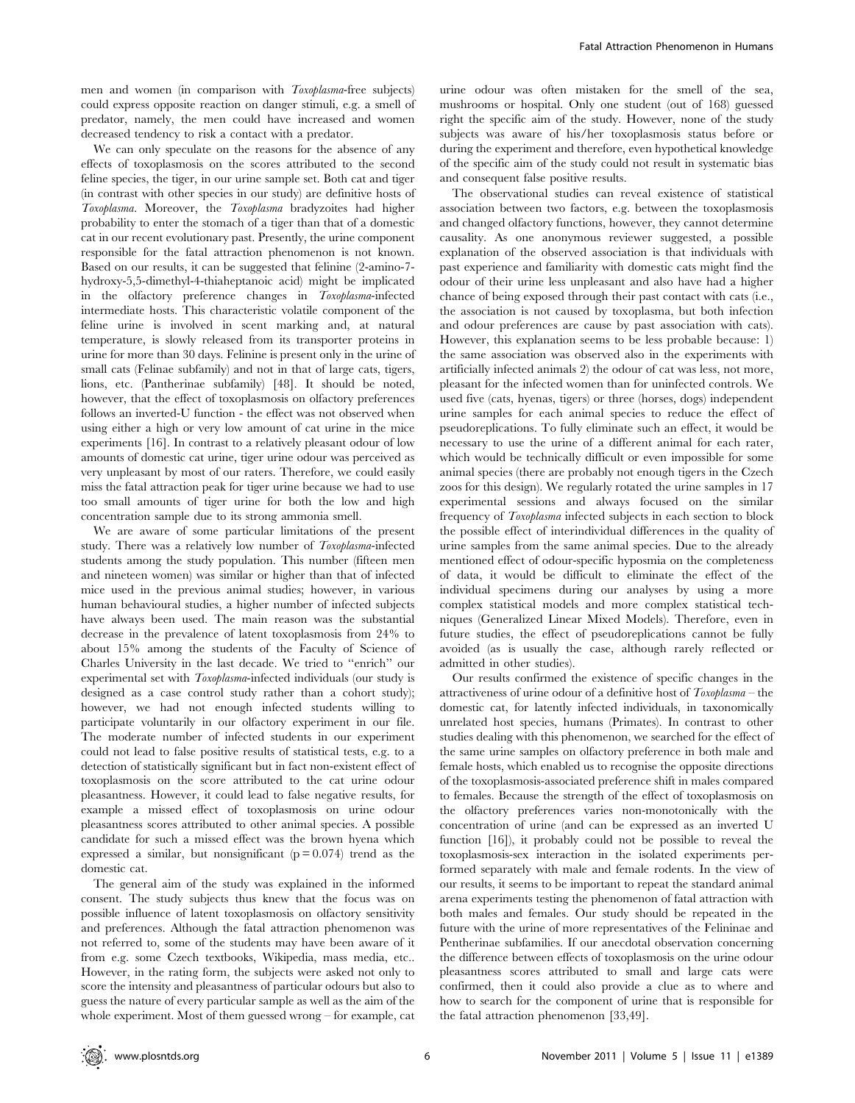men and women (in comparison with Toxoplasma-free subjects) could express opposite reaction on danger stimuli, e.g. a smell of predator, namely, the men could have increased and women decreased tendency to risk a contact with a predator.

We can only speculate on the reasons for the absence of any effects of toxoplasmosis on the scores attributed to the second feline species, the tiger, in our urine sample set. Both cat and tiger (in contrast with other species in our study) are definitive hosts of Toxoplasma. Moreover, the Toxoplasma bradyzoites had higher probability to enter the stomach of a tiger than that of a domestic cat in our recent evolutionary past. Presently, the urine component responsible for the fatal attraction phenomenon is not known. Based on our results, it can be suggested that felinine (2-amino-7 hydroxy-5,5-dimethyl-4-thiaheptanoic acid) might be implicated in the olfactory preference changes in Toxoplasma-infected intermediate hosts. This characteristic volatile component of the feline urine is involved in scent marking and, at natural temperature, is slowly released from its transporter proteins in urine for more than 30 days. Felinine is present only in the urine of small cats (Felinae subfamily) and not in that of large cats, tigers, lions, etc. (Pantherinae subfamily) [48]. It should be noted, however, that the effect of toxoplasmosis on olfactory preferences follows an inverted-U function - the effect was not observed when using either a high or very low amount of cat urine in the mice experiments [16]. In contrast to a relatively pleasant odour of low amounts of domestic cat urine, tiger urine odour was perceived as very unpleasant by most of our raters. Therefore, we could easily miss the fatal attraction peak for tiger urine because we had to use too small amounts of tiger urine for both the low and high concentration sample due to its strong ammonia smell.

We are aware of some particular limitations of the present study. There was a relatively low number of Toxoplasma-infected students among the study population. This number (fifteen men and nineteen women) was similar or higher than that of infected mice used in the previous animal studies; however, in various human behavioural studies, a higher number of infected subjects have always been used. The main reason was the substantial decrease in the prevalence of latent toxoplasmosis from 24% to about 15% among the students of the Faculty of Science of Charles University in the last decade. We tried to ''enrich'' our experimental set with Toxoplasma-infected individuals (our study is designed as a case control study rather than a cohort study); however, we had not enough infected students willing to participate voluntarily in our olfactory experiment in our file. The moderate number of infected students in our experiment could not lead to false positive results of statistical tests, e.g. to a detection of statistically significant but in fact non-existent effect of toxoplasmosis on the score attributed to the cat urine odour pleasantness. However, it could lead to false negative results, for example a missed effect of toxoplasmosis on urine odour pleasantness scores attributed to other animal species. A possible candidate for such a missed effect was the brown hyena which expressed a similar, but nonsignificant  $(p = 0.074)$  trend as the domestic cat.

The general aim of the study was explained in the informed consent. The study subjects thus knew that the focus was on possible influence of latent toxoplasmosis on olfactory sensitivity and preferences. Although the fatal attraction phenomenon was not referred to, some of the students may have been aware of it from e.g. some Czech textbooks, Wikipedia, mass media, etc.. However, in the rating form, the subjects were asked not only to score the intensity and pleasantness of particular odours but also to guess the nature of every particular sample as well as the aim of the whole experiment. Most of them guessed wrong – for example, cat urine odour was often mistaken for the smell of the sea, mushrooms or hospital. Only one student (out of 168) guessed right the specific aim of the study. However, none of the study subjects was aware of his/her toxoplasmosis status before or during the experiment and therefore, even hypothetical knowledge of the specific aim of the study could not result in systematic bias and consequent false positive results.

The observational studies can reveal existence of statistical association between two factors, e.g. between the toxoplasmosis and changed olfactory functions, however, they cannot determine causality. As one anonymous reviewer suggested, a possible explanation of the observed association is that individuals with past experience and familiarity with domestic cats might find the odour of their urine less unpleasant and also have had a higher chance of being exposed through their past contact with cats (i.e., the association is not caused by toxoplasma, but both infection and odour preferences are cause by past association with cats). However, this explanation seems to be less probable because: 1) the same association was observed also in the experiments with artificially infected animals 2) the odour of cat was less, not more, pleasant for the infected women than for uninfected controls. We used five (cats, hyenas, tigers) or three (horses, dogs) independent urine samples for each animal species to reduce the effect of pseudoreplications. To fully eliminate such an effect, it would be necessary to use the urine of a different animal for each rater, which would be technically difficult or even impossible for some animal species (there are probably not enough tigers in the Czech zoos for this design). We regularly rotated the urine samples in 17 experimental sessions and always focused on the similar frequency of Toxoplasma infected subjects in each section to block the possible effect of interindividual differences in the quality of urine samples from the same animal species. Due to the already mentioned effect of odour-specific hyposmia on the completeness of data, it would be difficult to eliminate the effect of the individual specimens during our analyses by using a more complex statistical models and more complex statistical techniques (Generalized Linear Mixed Models). Therefore, even in future studies, the effect of pseudoreplications cannot be fully avoided (as is usually the case, although rarely reflected or admitted in other studies).

Our results confirmed the existence of specific changes in the attractiveness of urine odour of a definitive host of  $Toxoplasma$  – the domestic cat, for latently infected individuals, in taxonomically unrelated host species, humans (Primates). In contrast to other studies dealing with this phenomenon, we searched for the effect of the same urine samples on olfactory preference in both male and female hosts, which enabled us to recognise the opposite directions of the toxoplasmosis-associated preference shift in males compared to females. Because the strength of the effect of toxoplasmosis on the olfactory preferences varies non-monotonically with the concentration of urine (and can be expressed as an inverted U function [16]), it probably could not be possible to reveal the toxoplasmosis-sex interaction in the isolated experiments performed separately with male and female rodents. In the view of our results, it seems to be important to repeat the standard animal arena experiments testing the phenomenon of fatal attraction with both males and females. Our study should be repeated in the future with the urine of more representatives of the Felininae and Pentherinae subfamilies. If our anecdotal observation concerning the difference between effects of toxoplasmosis on the urine odour pleasantness scores attributed to small and large cats were confirmed, then it could also provide a clue as to where and how to search for the component of urine that is responsible for the fatal attraction phenomenon [33,49].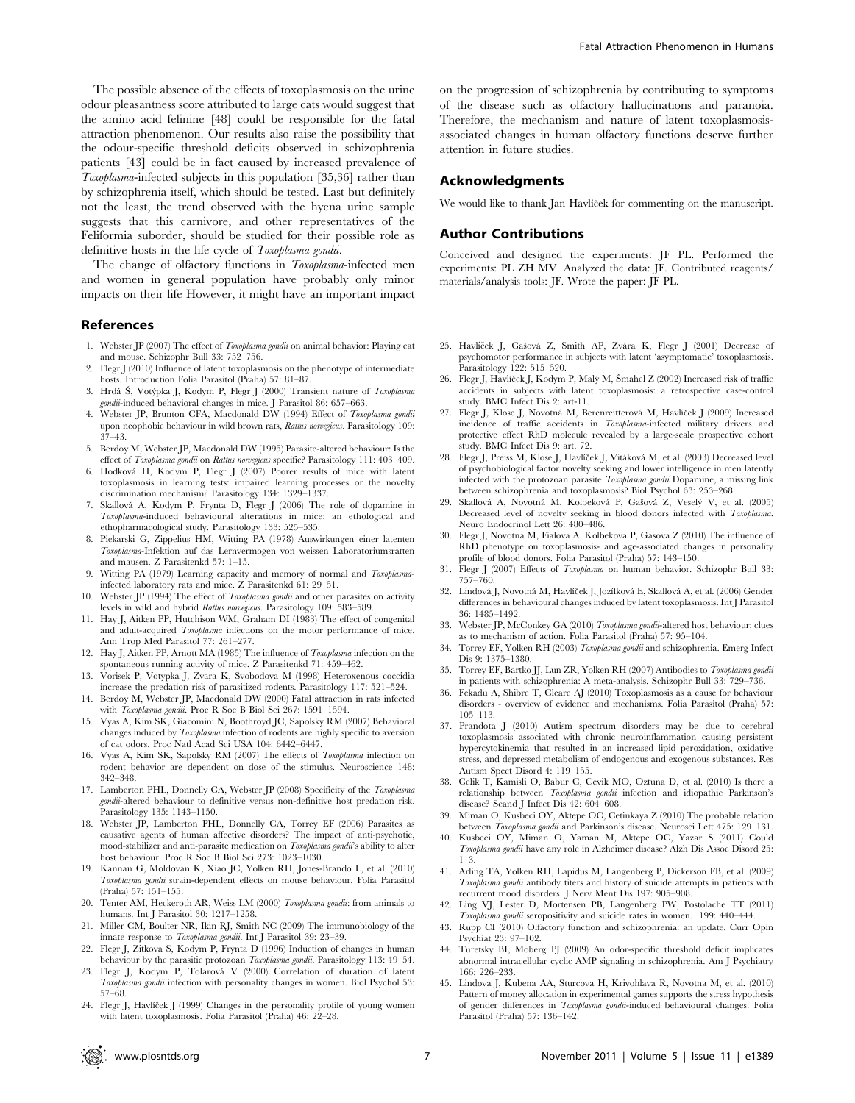The possible absence of the effects of toxoplasmosis on the urine odour pleasantness score attributed to large cats would suggest that the amino acid felinine [48] could be responsible for the fatal attraction phenomenon. Our results also raise the possibility that the odour-specific threshold deficits observed in schizophrenia patients [43] could be in fact caused by increased prevalence of Toxoplasma-infected subjects in this population [35,36] rather than by schizophrenia itself, which should be tested. Last but definitely not the least, the trend observed with the hyena urine sample suggests that this carnivore, and other representatives of the Feliformia suborder, should be studied for their possible role as definitive hosts in the life cycle of Toxoplasma gondii.

The change of olfactory functions in Toxoplasma-infected men and women in general population have probably only minor impacts on their life However, it might have an important impact

#### References

- 1. Webster JP (2007) The effect of Toxoplasma gondii on animal behavior: Playing cat and mouse. Schizophr Bull 33: 752–756.
- 2. Flegr J (2010) Influence of latent toxoplasmosis on the phenotype of intermediate hosts. Introduction Folia Parasitol (Praha) 57: 81–87.
- 3. Hrdá Š, Votýpka J, Kodym P, Flegr J (2000) Transient nature of Toxoplasma mdii-induced behavioral changes in mice. J Parasitol 86: 657-663.
- 4. Webster JP, Brunton CFA, Macdonald DW (1994) Effect of Toxoplasma gondii upon neophobic behaviour in wild brown rats, Rattus norvegicus. Parasitology 109: 37–43.
- 5. Berdoy M, Webster JP, Macdonald DW (1995) Parasite-altered behaviour: Is the effect of Toxoplasma gondii on Rattus norvegicus specific? Parasitology 111: 403–409.
- 6. Hodkova´ H, Kodym P, Flegr J (2007) Poorer results of mice with latent toxoplasmosis in learning tests: impaired learning processes or the novelty discrimination mechanism? Parasitology 134: 1329–1337.
- 7. Skallova´ A, Kodym P, Frynta D, Flegr J (2006) The role of dopamine in Toxoplasma-induced behavioural alterations in mice: an ethological and ethopharmacological study. Parasitology 133: 525–535.
- 8. Piekarski G, Zippelius HM, Witting PA (1978) Auswirkungen einer latenten Toxoplasma-Infektion auf das Lernvermogen von weissen Laboratoriumsratten and mausen. Z Parasitenkd 57: 1–15.
- 9. Witting PA (1979) Learning capacity and memory of normal and Toxoplasmainfected laboratory rats and mice. Z Parasitenkd 61: 29–51.
- 10. Webster IP (1994) The effect of *Toxoplasma gondii* and other parasites on activity levels in wild and hybrid Rattus norvegicus. Parasitology 109: 583–589.
- 11. Hay J, Aitken PP, Hutchison WM, Graham DI (1983) The effect of congenital and adult-acquired Toxoplasma infections on the motor performance of mice. Ann Trop Med Parasitol 77: 261–277.
- 12. Hay J, Aitken PP, Arnott MA (1985) The influence of Toxoplasma infection on the spontaneous running activity of mice. Z Parasitenkd 71: 459–462.
- 13. Vorisek P, Votypka J, Zvara K, Svobodova M (1998) Heteroxenous coccidia increase the predation risk of parasitized rodents. Parasitology 117: 521–524.
- 14. Berdoy M, Webster JP, Macdonald DW (2000) Fatal attraction in rats infected with Toxoplasma gondii. Proc R Soc B Biol Sci 267: 1591–1594.
- 15. Vyas A, Kim SK, Giacomini N, Boothroyd JC, Sapolsky RM (2007) Behavioral changes induced by Toxoplasma infection of rodents are highly specific to aversion of cat odors. Proc Natl Acad Sci USA 104: 6442–6447.
- 16. Vyas A, Kim SK, Sapolsky RM (2007) The effects of Toxoplasma infection on rodent behavior are dependent on dose of the stimulus. Neuroscience 148: 342–348.
- 17. Lamberton PHL, Donnelly CA, Webster JP (2008) Specificity of the Toxoplasma gondii-altered behaviour to definitive versus non-definitive host predation risk. Parasitology 135: 1143–1150.
- 18. Webster JP, Lamberton PHL, Donnelly CA, Torrey EF (2006) Parasites as causative agents of human affective disorders? The impact of anti-psychotic, mood-stabilizer and anti-parasite medication on Toxoplasma gondii's ability to alter host behaviour. Proc R Soc B Biol Sci 273: 1023–1030.
- 19. Kannan G, Moldovan K, Xiao JC, Yolken RH, Jones-Brando L, et al. (2010) Toxoplasma gondii strain-dependent effects on mouse behaviour. Folia Parasitol (Praha) 57: 151–155.
- 20. Tenter AM, Heckeroth AR, Weiss LM (2000) Toxoplasma gondii: from animals to humans. Int J Parasitol 30: 1217–1258.
- 21. Miller CM, Boulter NR, Ikin RJ, Smith NC (2009) The immunobiology of the innate response to Toxoplasma gondii. Int J Parasitol 39: 23–39.
- 22. Flegr J, Zitkova S, Kodym P, Frynta D (1996) Induction of changes in human behaviour by the parasitic protozoan Toxoplasma gondii. Parasitology 113: 49-54.
- 23. Flegr J, Kodym P, Tolarova´ V (2000) Correlation of duration of latent Toxoplasma gondii infection with personality changes in women. Biol Psychol 53: 57–68.
- 24. Flegr J, Havlíček J (1999) Changes in the personality profile of young women with latent toxoplasmosis. Folia Parasitol (Praha) 46: 22–28.

on the progression of schizophrenia by contributing to symptoms of the disease such as olfactory hallucinations and paranoia. Therefore, the mechanism and nature of latent toxoplasmosisassociated changes in human olfactory functions deserve further attention in future studies.

## Acknowledgments

We would like to thank Jan Havlíček for commenting on the manuscript.

## Author Contributions

Conceived and designed the experiments: JF PL. Performed the experiments: PL ZH MV. Analyzed the data: JF. Contributed reagents/ materials/analysis tools: JF. Wrote the paper: JF PL.

- 25. Havlíček J, Gašová Z, Smith AP, Zvára K, Flegr J (2001) Decrease of psychomotor performance in subjects with latent 'asymptomatic' toxoplasmosis. Parasitology 122: 515–520.
- 26. Flegr J, Havlíček J, Kodym P, Malý M, Šmahel Z (2002) Increased risk of traffic accidents in subjects with latent toxoplasmosis: a retrospective case-control study. BMC Infect Dis 2: art-11.
- 27. Flegr J, Klose J, Novotná M, Berenreitterová M, Havlíček J (2009) Increased incidence of traffic accidents in Toxoplasma-infected military drivers and protective effect RhD molecule revealed by a large-scale prospective cohort study. BMC Infect Dis 9: art. 72.
- 28. Flegr J, Preiss M, Klose J, Havlíček J, Vitáková M, et al. (2003) Decreased level of psychobiological factor novelty seeking and lower intelligence in men latently infected with the protozoan parasite Toxoplasma gondii Dopamine, a missing link between schizophrenia and toxoplasmosis? Biol Psychol 63: 253–268.
- 29. Skallová A, Novotná M, Kolbeková P, Gašová Z, Veselý V, et al. (2005) Decreased level of novelty seeking in blood donors infected with Toxoplasma. Neuro Endocrinol Lett 26: 480–486.
- 30. Flegr J, Novotna M, Fialova A, Kolbekova P, Gasova Z (2010) The influence of RhD phenotype on toxoplasmosis- and age-associated changes in personality profile of blood donors. Folia Parasitol (Praha) 57: 143–150.
- 31. Flegr J (2007) Effects of Toxoplasma on human behavior. Schizophr Bull 33: 757–760.
- 32. Lindová J, Novotná M, Havlíček J, Jozífková E, Skallová A, et al. (2006) Gender differences in behavioural changes induced by latent toxoplasmosis. Int J Parasitol 36: 1485–1492.
- 33. Webster JP, McConkey GA (2010) Toxoplasma gondii-altered host behaviour: clues as to mechanism of action. Folia Parasitol (Praha) 57: 95–104.
- 34. Torrey EF, Yolken RH (2003) Toxoplasma gondii and schizophrenia. Emerg Infect Dis 9: 1375–1380.
- 35. Torrey EF, Bartko JJ, Lun ZR, Yolken RH (2007) Antibodies to Toxoplasma gondii in patients with schizophrenia: A meta-analysis. Schizophr Bull 33: 729–736.
- 36. Fekadu A, Shibre T, Cleare AJ (2010) Toxoplasmosis as a cause for behaviour disorders - overview of evidence and mechanisms. Folia Parasitol (Praha) 57: 105–113.
- 37. Prandota J (2010) Autism spectrum disorders may be due to cerebral toxoplasmosis associated with chronic neuroinflammation causing persistent hypercytokinemia that resulted in an increased lipid peroxidation, oxidative stress, and depressed metabolism of endogenous and exogenous substances. Res Autism Spect Disord 4: 119–155.
- 38. Celik T, Kamisli O, Babur C, Cevik MO, Oztuna D, et al. (2010) Is there a relationship between Toxoplasma gondii infection and idiopathic Parkinson's disease? Scand J Infect Dis 42: 604–608.
- 39. Miman O, Kusbeci OY, Aktepe OC, Cetinkaya Z (2010) The probable relation between Toxoplasma gondii and Parkinson's disease. Neurosci Lett 475: 129–131.
- 40. Kusbeci OY, Miman O, Yaman M, Aktepe OC, Yazar S (2011) Could Toxoplasma gondii have any role in Alzheimer disease? Alzh Dis Assoc Disord 25: 1–3.
- 41. Arling TA, Yolken RH, Lapidus M, Langenberg P, Dickerson FB, et al. (2009) Toxoplasma gondii antibody titers and history of suicide attempts in patients with recurrent mood disorders. J Nerv Ment Dis 197: 905–908.
- 42. Ling VJ, Lester D, Mortensen PB, Langenberg PW, Postolache TT (2011) Toxoplasma gondii seropositivity and suicide rates in women. 199: 440–444.
- 43. Rupp CI (2010) Olfactory function and schizophrenia: an update. Curr Opin Psychiat 23: 97–102.
- 44. Turetsky BI, Moberg PJ (2009) An odor-specific threshold deficit implicates abnormal intracellular cyclic AMP signaling in schizophrenia. Am J Psychiatry 166: 226–233.
- 45. Lindova J, Kubena AA, Sturcova H, Krivohlava R, Novotna M, et al. (2010) Pattern of money allocation in experimental games supports the stress hypothesis of gender differences in Toxoplasma gondii-induced behavioural changes. Folia Parasitol (Praha) 57: 136–142.